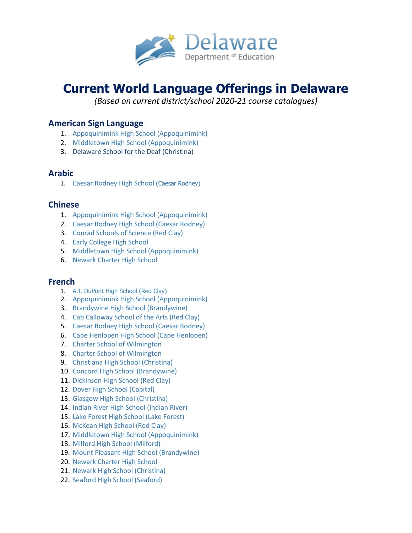

# **Current World Language Offerings in Delaware**

*(Based on current district/school 2020-21 course catalogues)*

# **American Sign Language**

- 1. [Appoquinimink High School](http://www.appohigh.org/) [\(Appoquinimink\)](http://apposchooldistrict.com/)
- 2. [Middletown High School](http://www.middletownhs.org/) [\(Appoquinimink\)](http://apposchooldistrict.com/)
- 3. [Delaware School for the Deaf](https://www.dsdeaf.org/) [\(Christina\)](https://www.christinak12.org/)

# **Arabic**

1. [Caesar Rodney High School](http://www.crk12.org/crhs) [\(Caesar Rodney\)](http://www.crk12.org/)

# **Chinese**

- 1. [Appoquinimink High School](http://www.appohigh.org/) [\(Appoquinimink\)](http://apposchooldistrict.com/)
- 2. [Caesar Rodney High School](http://www.crk12.org/crhs) [\(Caesar Rodney\)](http://www.crk12.org/)
- 3. [Conrad Schools of Science](http://www.edline.net/pages/rcconrad) [\(Red Clay\)](http://www.edline.net/pages/rcconrad)
- 4. [Early College High School](http://echs.desu.edu/)
- 5. [Middletown High School](http://www.middletownhs.org/) [\(Appoquinimink\)](http://apposchooldistrict.com/)
- 6. [Newark Charter High School](http://hs.ncs.charter.k12.de.us/pages/Newark_JR_SR_HS)

## **French**

- 1. [A.I. DuPont High School](http://www.edline.net/pages/RCAIHS) [\(Red Clay\)](http://www.redclayschools.com/pages/RedClay)
- 2. [Appoquinimink High School](http://www.appohigh.org/) [\(Appoquinimink\)](http://apposchooldistrict.com/)
- 3. [Brandywine High School](http://www.brandywineschools.org/brandywine) [\(Brandywine\)](http://www.brandywineschools.org/)
- 4. [Cab Calloway School of the Arts](http://www.cabcallowayschool.org/) [\(Red Clay\)](http://www.cabcallowayschool.org/)
- 5. [Caesar Rodney High School](http://www.crk12.org/crhs) [\(Caesar Rodney\)](http://www.crk12.org/crhs)
- 6. [Cape Henlopen High School](http://www.edlinesites.net/pages/Cape_Henlopen_High_School) [\(Cape Henlopen\)](http://www.edlinesites.net/pages/Cape_Henlopen_School_District)
- 7. [Charter School of Wilmington](http://charterschool.org/)
- 8. [Charter School of Wilmington](http://charterschool.org/)
- 9. [Christiana HIgh School](http://www.christianahs.org/) [\(Christina\)](http://www.christinak12.org/)
- 10. [Concord High School](http://www.brandywineschools.org/concord) [\(Brandywine\)](http://www.brandywineschools.org/concord)
- 11. [Dickinson High School](http://www.edline.net/pages/rcDickinson) [\(Red Clay\)](http://www.redclayschools.com/pages/RedClay)
- 12. [Dover High School](http://www.doverhigh.capital.k12.de.us/) [\(Capital\)](http://www.capital.k12.de.us/)
- 13. [Glasgow High School](http://www.glasgowhs.org/) [\(Christina\)](http://www.christinak12.org/)
- 14. [Indian River High School](http://irhs.irsd.net/) [\(Indian River\)](http://www.irsd.net/)
- 15. [Lake Forest High School](http://www.lf.k12.de.us/lfhs/) [\(Lake Forest\)](http://www.lf.k12.de.us/)
- 16. [McKean High School](http://www.edline.net/pages/RCMcKean) [\(Red Clay\)](http://www.redclayschools.com/pages/RedClay)
- 17. [Middletown High School](http://www.middletownhs.org/) [\(Appoquinimink\)](http://apposchooldistrict.com/)
- 18. [Milford High School](http://mhs.milfordschooldistrict.org/) [\(Milford\)](http://mhs.milfordschooldistrict.org/)
- 19. [Mount Pleasant High School](http://www.brandywineschools.org/mphs) [\(Brandywine\)](http://www.brandywineschools.org/)
- 20. [Newark Charter High School](http://hs.ncs.charter.k12.de.us/pages/Newark_JR_SR_HS)
- 21. [Newark High School](http://www.newarkhigh.org/) [\(Christina\)](http://www.christinak12.org/)
- 22. Seaford High School (Seaford)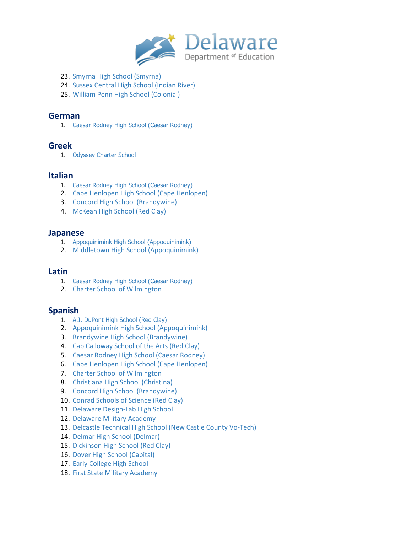

- 23. [Smyrna High School](http://shs.smyrna.k12.de.us/) [\(Smyrna\)](http://www.smyrna.k12.de.us/)
- 24. [Sussex Central High School](http://schs.irsd.net/) [\(Indian River\)](http://schs.irsd.net/)
- 25. [William Penn High School](http://www.colonialschooldistrict.org/schools/williampenn/) [\(Colonial\)](http://www.colonialschooldistrict.org/)

#### **German**

1. [Caesar Rodney High School](http://www.crk12.org/crhs) [\(Caesar Rodney\)](http://www.crk12.org/crhs)

#### **Greek**

1. [Odyssey Charter School](http://odysseycharterschooldel.com/)

### **Italian**

- 1. [Caesar Rodney High School](http://www.crk12.org/crhs) [\(Caesar Rodney\)](http://www.crk12.org/)
- 2. [Cape Henlopen High School](http://www.edlinesites.net/pages/Cape_Henlopen_High_School) [\(Cape Henlopen\)](http://www.edlinesites.net/pages/Cape_Henlopen_School_District)
- 3. [Concord High School](http://www.brandywineschools.org/concord) [\(Brandywine\)](http://www.brandywineschools.org/concord)
- 4. [McKean High School](http://www.edline.net/pages/RCMcKean) [\(Red Clay\)](http://www.redclayschools.com/pages/RedClay)

#### **Japanese**

- 1. [Appoquinimink High School](http://www.appohigh.org/) [\(Appoquinimink\)](http://apposchooldistrict.com/)
- 2. [Middletown High School](http://www.middletownhs.org/) [\(Appoquinimink\)](http://apposchooldistrict.com/)

#### **Latin**

- 1. [Caesar Rodney High School](http://www.crk12.org/crhs) [\(Caesar Rodney\)](http://www.crk12.org/)
- 2. [Charter School of Wilmington](http://charterschool.org/)

## **Spanish**

- 1. A.I. [DuPont High School](http://www.edline.net/pages/RCAIHS) [\(Red Clay\)](http://www.redclayschools.com/pages/RedClay)
- 2. [Appoquinimink High School](http://www.appohigh.org/) [\(Appoquinimink\)](http://apposchooldistrict.com/)
- 3. [Brandywine High School](http://www.brandywineschools.org/brandywine) [\(Brandywine\)](http://www.brandywineschools.org/)
- 4. [Cab Calloway School of the Arts](http://www.cabcallowayschool.org/) [\(Red Clay\)](http://www.redclayschools.com/pages/RedClay)
- 5. [Caesar Rodney High School](http://www.crk12.org/crhs) [\(Caesar Rodney\)](http://www.crk12.org/)
- 6. [Cape Henlopen High School](http://www.edlinesites.net/pages/Cape_Henlopen_High_School) [\(Cape Henlopen\)](http://www.edlinesites.net/pages/Cape_Henlopen_High_School)
- 7. [Charter School of Wilmington](http://charterschool.org/)
- 8. [Christiana High School](http://www.christianahs.org/) [\(Christina\)](http://www.christinak12.org/)
- 9. [Concord High School](http://www.brandywineschools.org/concord) [\(Brandywine\)](http://www.brandywineschools.org/concord)
- 10. [Conrad Schools of Science](http://www.edline.net/pages/rcconrad) [\(Red Clay\)](http://www.redclayschools.com/pages/RedClay)
- 11. [Delaware Design-Lab High School](http://design-labschools.org/delaware-design-lab-high-school.php)
- 12. [Delaware Military Academy](http://www.demilacad.org/)
- 13. [Delcastle Technical High School](http://delcastle.nccvt.k12.de.us/) [\(New Castle County Vo-Tech\)](http://www.nccvt.k12.de.us/)
- 14. [Delmar High School](http://www.delmar.k12.de.us/apps/pages/index.jsp?uREC_ID=285102&type=d) [\(Delmar\)](http://www.delmar.k12.de.us/)
- 15. [Dickinson High School](http://www.edline.net/pages/rcDickinson) [\(Red Clay\)](http://www.redclayschools.com/pages/RedClay)
- 16. [Dover High School](http://www.doverhigh.capital.k12.de.us/) [\(Capital\)](http://www.capital.k12.de.us/)
- 17. [Early College High School](http://echs.desu.edu/)
- 18. [First State Military Academy](http://www.fsmilitary.org/)